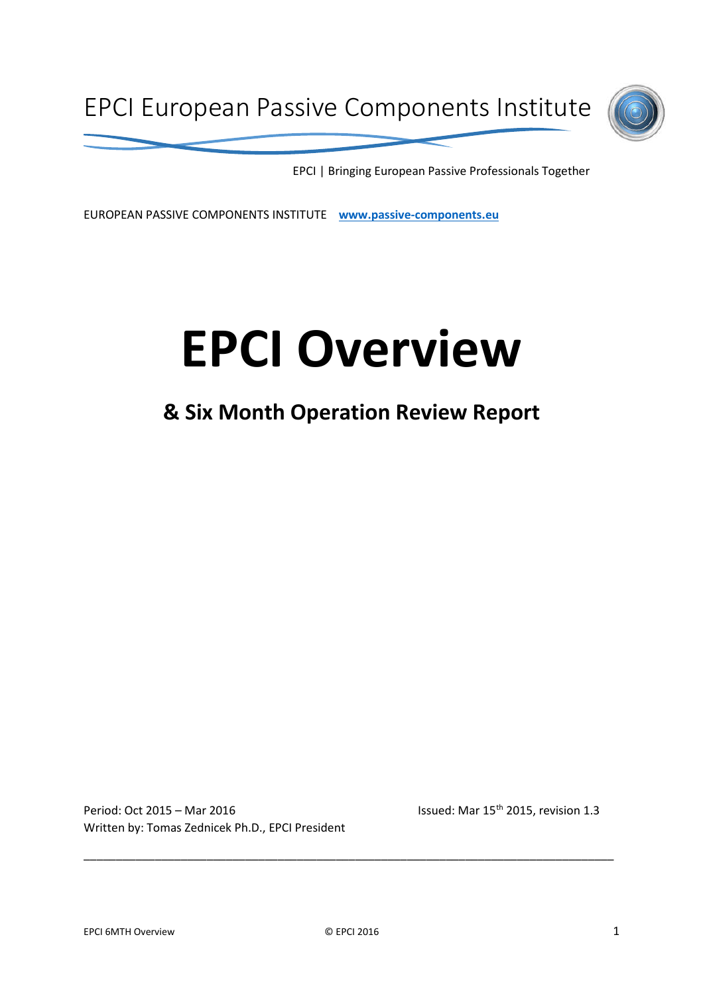

EPCI | Bringing European Passive Professionals Together

EUROPEAN PASSIVE COMPONENTS INSTITUTE **www.passive-components.eu**

# **EPCI Overview**

# **& Six Month Operation Review Report**

Period: Oct 2015 – Mar 2016 **Issued: Mar 15<sup>th</sup> 2015**, revision 1.3 Written by: Tomas Zednicek Ph.D., EPCI President

\_\_\_\_\_\_\_\_\_\_\_\_\_\_\_\_\_\_\_\_\_\_\_\_\_\_\_\_\_\_\_\_\_\_\_\_\_\_\_\_\_\_\_\_\_\_\_\_\_\_\_\_\_\_\_\_\_\_\_\_\_\_\_\_\_\_\_\_\_\_\_\_\_\_\_\_\_\_\_\_\_\_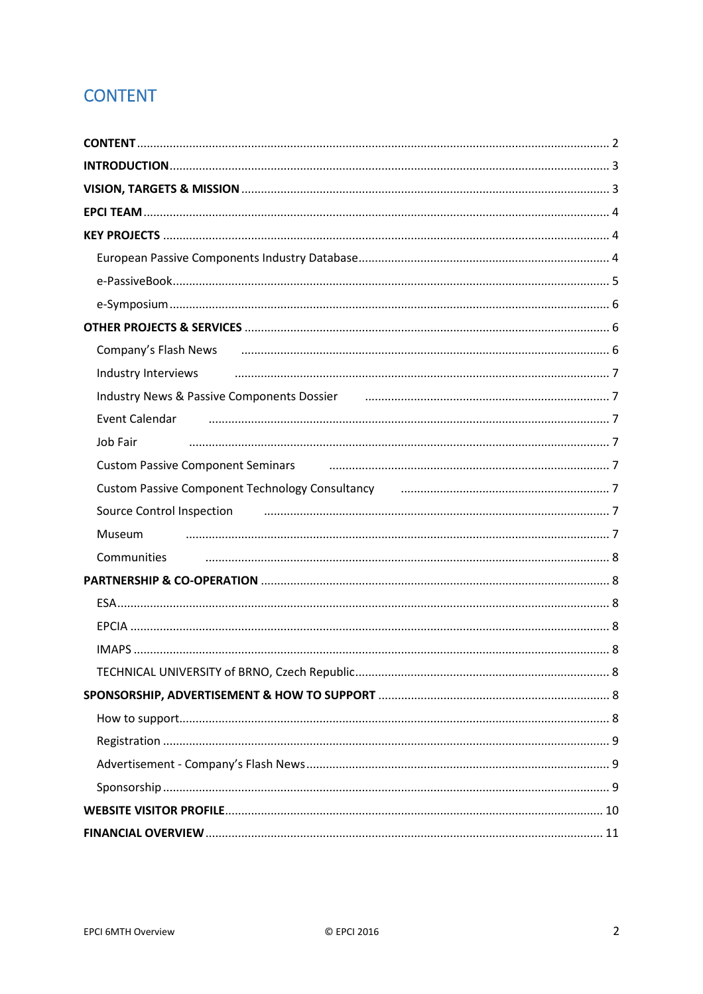# **CONTENT**

| Company's Flash News <b>company's Flash News</b> 2010 and 2010 and 2010 and 2010 and 2010 and 2010 and 2010 and 2010 and 2010 and 2010 and 2010 and 2010 and 2010 and 2010 and 2010 and 2010 and 2010 and 2010 and 2010 and 2010 an |  |  |  |
|-------------------------------------------------------------------------------------------------------------------------------------------------------------------------------------------------------------------------------------|--|--|--|
| Industry Interviews использовательно положительно положительно составляют и положительно и положительно и                                                                                                                           |  |  |  |
| Industry News & Passive Components Dossier [11] manufacture material methods of Passive Components Dossier [11                                                                                                                      |  |  |  |
| Event Calendar                                                                                                                                                                                                                      |  |  |  |
| Job Fair                                                                                                                                                                                                                            |  |  |  |
| Custom Passive Component Seminars <b>Communication Contract Communication</b> 7                                                                                                                                                     |  |  |  |
| Custom Passive Component Technology Consultancy [11] [12] Custom Passive Component Technology Consultancy [201                                                                                                                      |  |  |  |
| Source Control Inspection <b>control</b> instanton and control in the control international control inspection                                                                                                                      |  |  |  |
| Museum                                                                                                                                                                                                                              |  |  |  |
|                                                                                                                                                                                                                                     |  |  |  |
|                                                                                                                                                                                                                                     |  |  |  |
|                                                                                                                                                                                                                                     |  |  |  |
|                                                                                                                                                                                                                                     |  |  |  |
|                                                                                                                                                                                                                                     |  |  |  |
|                                                                                                                                                                                                                                     |  |  |  |
|                                                                                                                                                                                                                                     |  |  |  |
|                                                                                                                                                                                                                                     |  |  |  |
|                                                                                                                                                                                                                                     |  |  |  |
|                                                                                                                                                                                                                                     |  |  |  |
|                                                                                                                                                                                                                                     |  |  |  |
|                                                                                                                                                                                                                                     |  |  |  |
|                                                                                                                                                                                                                                     |  |  |  |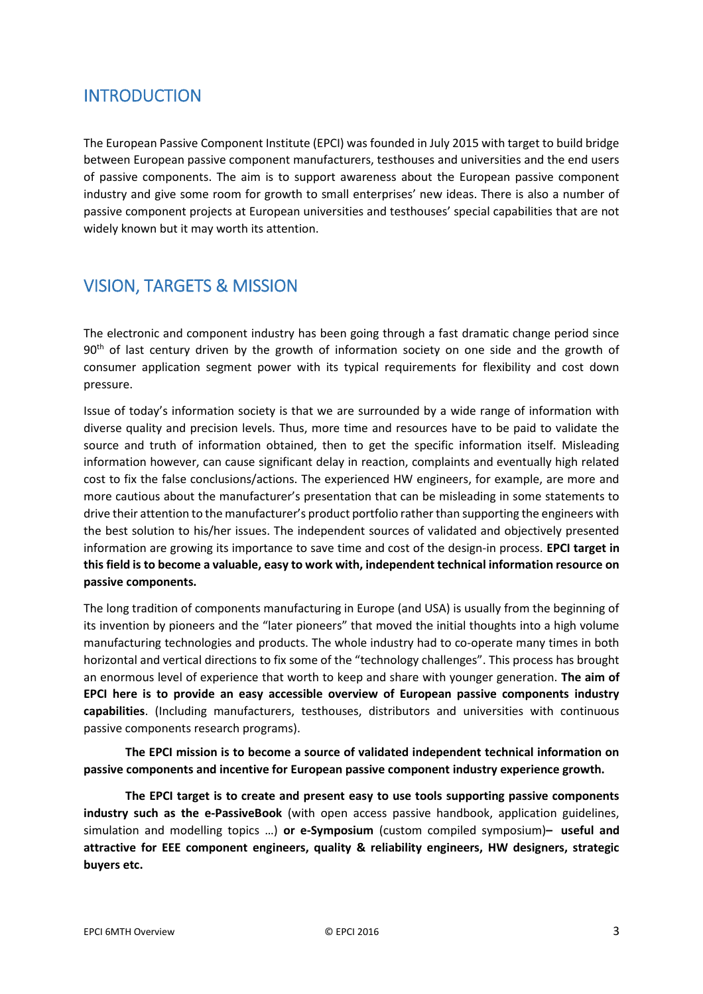# INTRODUCTION

The European Passive Component Institute (EPCI) was founded in July 2015 with target to build bridge between European passive component manufacturers, testhouses and universities and the end users of passive components. The aim is to support awareness about the European passive component industry and give some room for growth to small enterprises' new ideas. There is also a number of passive component projects at European universities and testhouses' special capabilities that are not widely known but it may worth its attention.

# VISION, TARGETS & MISSION

The electronic and component industry has been going through a fast dramatic change period since  $90<sup>th</sup>$  of last century driven by the growth of information society on one side and the growth of consumer application segment power with its typical requirements for flexibility and cost down pressure.

Issue of today's information society is that we are surrounded by a wide range of information with diverse quality and precision levels. Thus, more time and resources have to be paid to validate the source and truth of information obtained, then to get the specific information itself. Misleading information however, can cause significant delay in reaction, complaints and eventually high related cost to fix the false conclusions/actions. The experienced HW engineers, for example, are more and more cautious about the manufacturer's presentation that can be misleading in some statements to drive their attention to the manufacturer's product portfolio rather than supporting the engineers with the best solution to his/her issues. The independent sources of validated and objectively presented information are growing its importance to save time and cost of the design-in process. **EPCI target in this field is to become a valuable, easy to work with, independent technical information resource on passive components.**

The long tradition of components manufacturing in Europe (and USA) is usually from the beginning of its invention by pioneers and the "later pioneers" that moved the initial thoughts into a high volume manufacturing technologies and products. The whole industry had to co-operate many times in both horizontal and vertical directions to fix some of the "technology challenges". This process has brought an enormous level of experience that worth to keep and share with younger generation. **The aim of EPCI here is to provide an easy accessible overview of European passive components industry capabilities**. (Including manufacturers, testhouses, distributors and universities with continuous passive components research programs).

**The EPCI mission is to become a source of validated independent technical information on passive components and incentive for European passive component industry experience growth.**

**The EPCI target is to create and present easy to use tools supporting passive components industry such as the e-PassiveBook** (with open access passive handbook, application guidelines, simulation and modelling topics …) **or e-Symposium** (custom compiled symposium)**– useful and attractive for EEE component engineers, quality & reliability engineers, HW designers, strategic buyers etc.**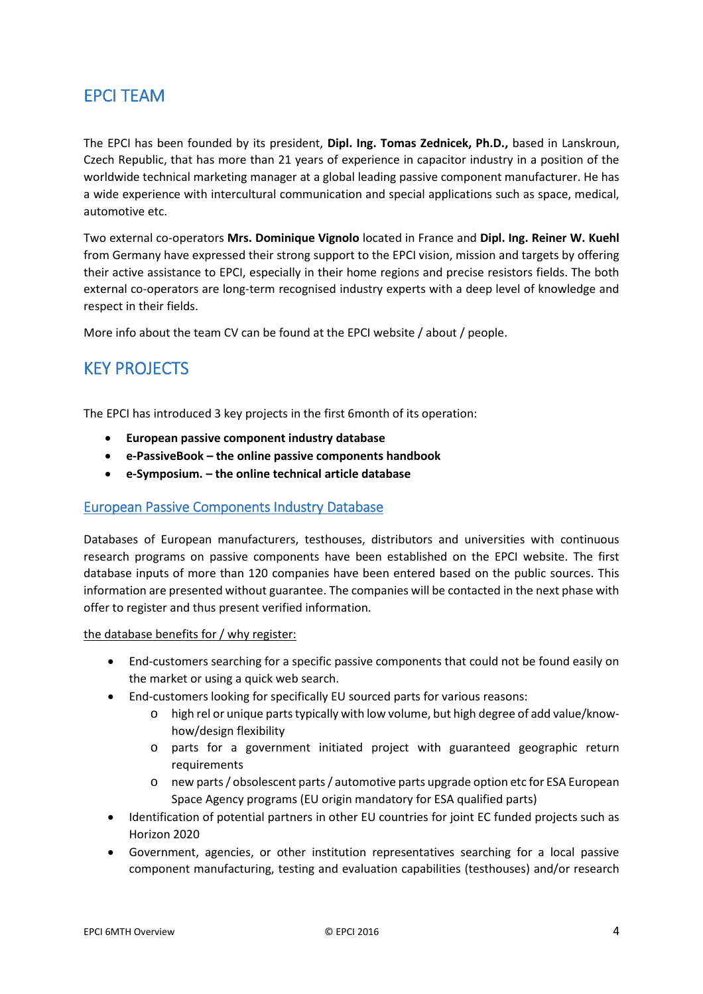# EPCI TEAM

The EPCI has been founded by its president, **Dipl. Ing. Tomas Zednicek, Ph.D.,** based in Lanskroun, Czech Republic, that has more than 21 years of experience in capacitor industry in a position of the worldwide technical marketing manager at a global leading passive component manufacturer. He has a wide experience with intercultural communication and special applications such as space, medical, automotive etc.

Two external co-operators **Mrs. Dominique Vignolo** located in France and **Dipl. Ing. Reiner W. Kuehl** from Germany have expressed their strong support to the EPCI vision, mission and targets by offering their active assistance to EPCI, especially in their home regions and precise resistors fields. The both external co-operators are long-term recognised industry experts with a deep level of knowledge and respect in their fields.

More info about the team CV can be found at the EPCI website / about / people.

# KEY PROJECTS

The EPCI has introduced 3 key projects in the first 6month of its operation:

- **European passive component industry database**
- **e-PassiveBook the online passive components handbook**
- **e-Symposium. the online technical article database**

# European Passive Components Industry Database

Databases of European manufacturers, testhouses, distributors and universities with continuous research programs on passive components have been established on the EPCI website. The first database inputs of more than 120 companies have been entered based on the public sources. This information are presented without guarantee. The companies will be contacted in the next phase with offer to register and thus present verified information.

the database benefits for / why register:

- End-customers searching for a specific passive components that could not be found easily on the market or using a quick web search.
- End-customers looking for specifically EU sourced parts for various reasons:
	- o high rel or unique parts typically with low volume, but high degree of add value/knowhow/design flexibility
	- o parts for a government initiated project with guaranteed geographic return requirements
	- o new parts / obsolescent parts / automotive parts upgrade option etc for ESA European Space Agency programs (EU origin mandatory for ESA qualified parts)
- Identification of potential partners in other EU countries for joint EC funded projects such as Horizon 2020
- Government, agencies, or other institution representatives searching for a local passive component manufacturing, testing and evaluation capabilities (testhouses) and/or research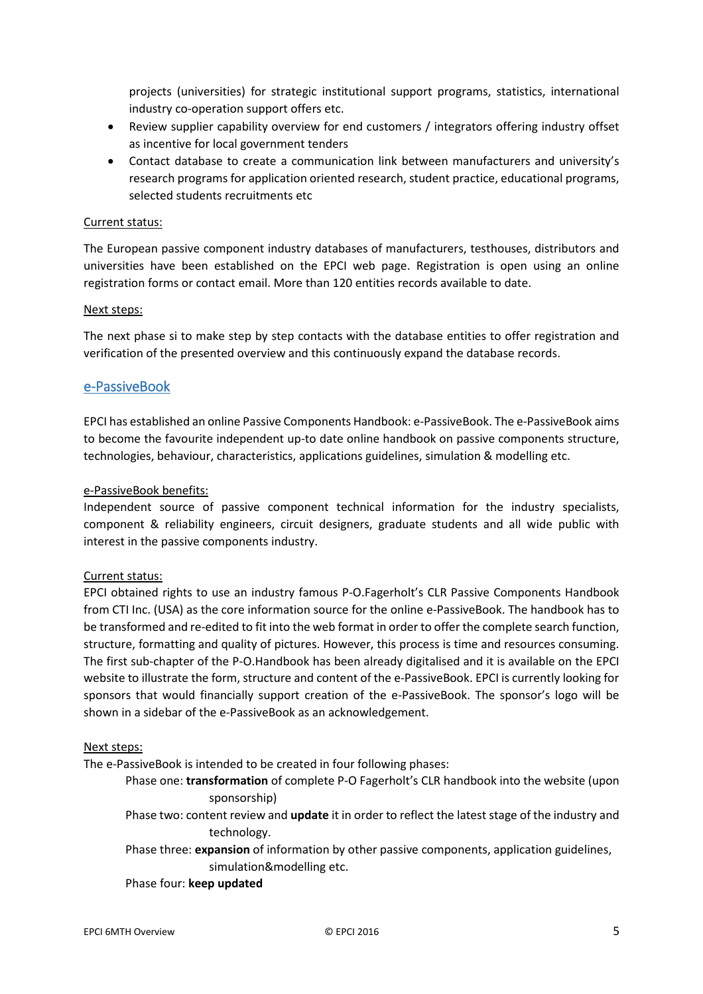projects (universities) for strategic institutional support programs, statistics, international industry co-operation support offers etc.

- Review supplier capability overview for end customers / integrators offering industry offset as incentive for local government tenders
- Contact database to create a communication link between manufacturers and university's research programs for application oriented research, student practice, educational programs, selected students recruitments etc

# Current status:

The European passive component industry databases of manufacturers, testhouses, distributors and universities have been established on the EPCI web page. Registration is open using an online registration forms or contact email. More than 120 entities records available to date.

### Next steps:

The next phase si to make step by step contacts with the database entities to offer registration and verification of the presented overview and this continuously expand the database records.

# e-PassiveBook

EPCI has established an online Passive Components Handbook: e-PassiveBook. The e-PassiveBook aims to become the favourite independent up-to date online handbook on passive components structure, technologies, behaviour, characteristics, applications guidelines, simulation & modelling etc.

# e-PassiveBook benefits:

Independent source of passive component technical information for the industry specialists, component & reliability engineers, circuit designers, graduate students and all wide public with interest in the passive components industry.

### Current status:

EPCI obtained rights to use an industry famous P-O.Fagerholt's CLR Passive Components Handbook from CTI Inc. (USA) as the core information source for the online e-PassiveBook. The handbook has to be transformed and re-edited to fit into the web format in order to offer the complete search function, structure, formatting and quality of pictures. However, this process is time and resources consuming. The first sub-chapter of the P-O.Handbook has been already digitalised and it is available on the EPCI website to illustrate the form, structure and content of the e-PassiveBook. EPCI is currently looking for sponsors that would financially support creation of the e-PassiveBook. The sponsor's logo will be shown in a sidebar of the e-PassiveBook as an acknowledgement.

### Next steps:

The e-PassiveBook is intended to be created in four following phases:

- Phase one: **transformation** of complete P-O Fagerholt's CLR handbook into the website (upon sponsorship)
- Phase two: content review and **update** it in order to reflect the latest stage of the industry and technology.

Phase three: **expansion** of information by other passive components, application guidelines, simulation&modelling etc.

### Phase four: **keep updated**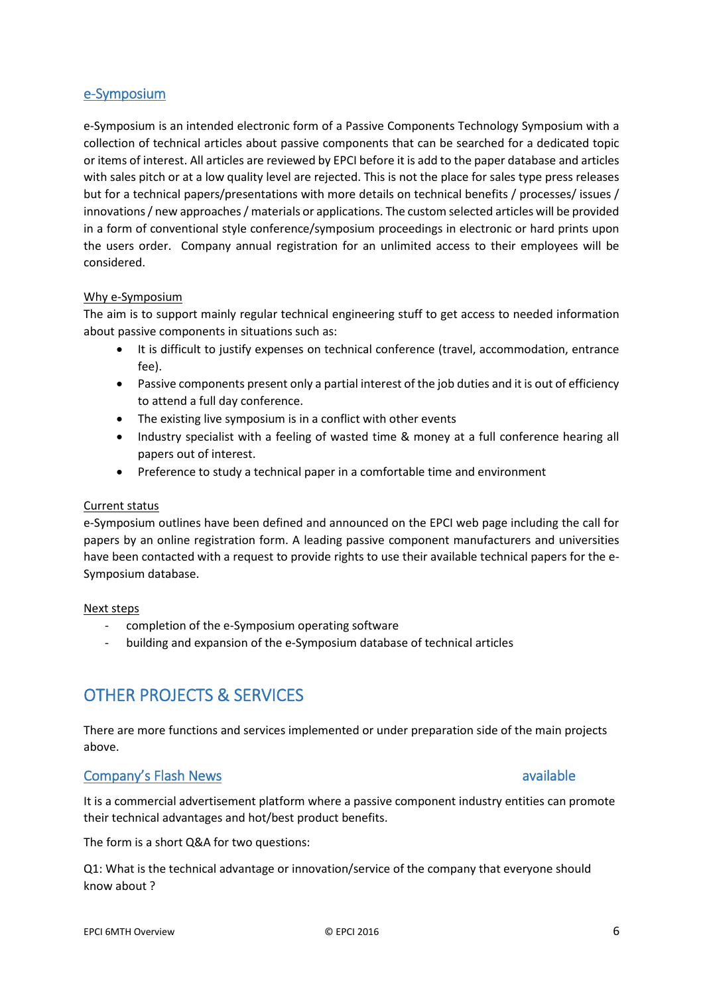# e-Symposium

e-Symposium is an intended electronic form of a Passive Components Technology Symposium with a collection of technical articles about passive components that can be searched for a dedicated topic or items of interest. All articles are reviewed by EPCI before it is add to the paper database and articles with sales pitch or at a low quality level are rejected. This is not the place for sales type press releases but for a technical papers/presentations with more details on technical benefits / processes/ issues / innovations / new approaches / materials or applications. The custom selected articles will be provided in a form of conventional style conference/symposium proceedings in electronic or hard prints upon the users order. Company annual registration for an unlimited access to their employees will be considered.

# Why e-Symposium

The aim is to support mainly regular technical engineering stuff to get access to needed information about passive components in situations such as:

- It is difficult to justify expenses on technical conference (travel, accommodation, entrance fee).
- Passive components present only a partial interest of the job duties and it is out of efficiency to attend a full day conference.
- The existing live symposium is in a conflict with other events
- Industry specialist with a feeling of wasted time & money at a full conference hearing all papers out of interest.
- Preference to study a technical paper in a comfortable time and environment

### Current status

e-Symposium outlines have been defined and announced on the EPCI web page including the call for papers by an online registration form. A leading passive component manufacturers and universities have been contacted with a request to provide rights to use their available technical papers for the e-Symposium database.

### Next steps

- completion of the e-Symposium operating software
- building and expansion of the e-Symposium database of technical articles

# OTHER PROJECTS & SERVICES

There are more functions and services implemented or under preparation side of the main projects above.

# Company's Flash News available and the company's Flash News

It is a commercial advertisement platform where a passive component industry entities can promote their technical advantages and hot/best product benefits.

The form is a short Q&A for two questions:

Q1: What is the technical advantage or innovation/service of the company that everyone should know about ?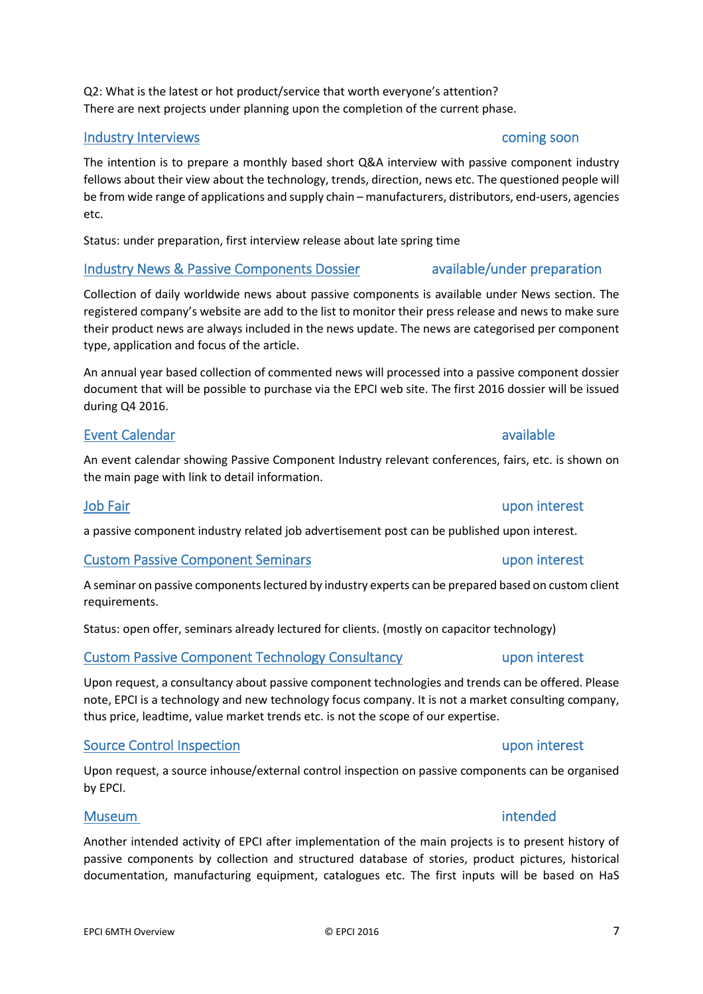# Q2: What is the latest or hot product/service that worth everyone's attention? There are next projects under planning upon the completion of the current phase.

# Industry Interviews coming soon

The intention is to prepare a monthly based short Q&A interview with passive component industry fellows about their view about the technology, trends, direction, news etc. The questioned people will be from wide range of applications and supply chain – manufacturers, distributors, end-users, agencies etc.

Status: under preparation, first interview release about late spring time

# Industry News & Passive Components Dossier available/under preparation

Collection of daily worldwide news about passive components is available under News section. The registered company's website are add to the list to monitor their press release and news to make sure their product news are always included in the news update. The news are categorised per component type, application and focus of the article.

An annual year based collection of commented news will processed into a passive component dossier document that will be possible to purchase via the EPCI web site. The first 2016 dossier will be issued during Q4 2016.

# Event Calendar available available

An event calendar showing Passive Component Industry relevant conferences, fairs, etc. is shown on the main page with link to detail information.

# Job Fair upon interest

a passive component industry related job advertisement post can be published upon interest.

# Custom Passive Component Seminars upon interest

A seminar on passive components lectured by industry experts can be prepared based on custom client requirements.

Status: open offer, seminars already lectured for clients. (mostly on capacitor technology)

# Custom Passive Component Technology Consultancy and the upon interest

Upon request, a consultancy about passive component technologies and trends can be offered. Please note, EPCI is a technology and new technology focus company. It is not a market consulting company, thus price, leadtime, value market trends etc. is not the scope of our expertise.

# Source Control Inspection **upon interest**

Upon request, a source inhouse/external control inspection on passive components can be organised by EPCI.

Another intended activity of EPCI after implementation of the main projects is to present history of passive components by collection and structured database of stories, product pictures, historical documentation, manufacturing equipment, catalogues etc. The first inputs will be based on HaS

# Museum intended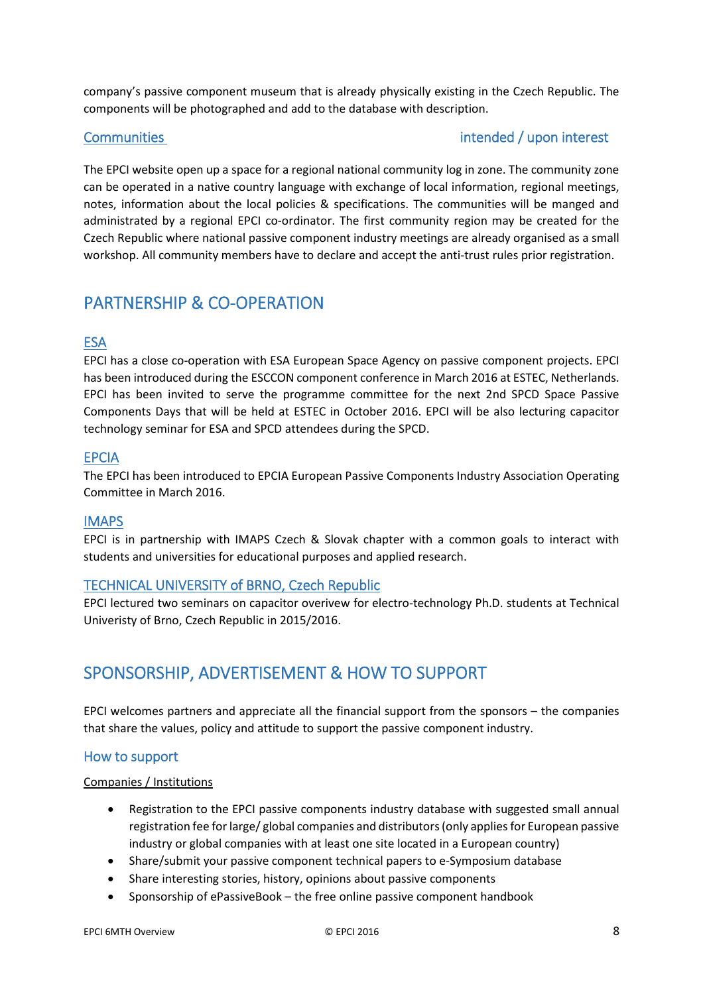company's passive component museum that is already physically existing in the Czech Republic. The components will be photographed and add to the database with description.

# Communities intended / upon interest

The EPCI website open up a space for a regional national community log in zone. The community zone can be operated in a native country language with exchange of local information, regional meetings, notes, information about the local policies & specifications. The communities will be manged and administrated by a regional EPCI co-ordinator. The first community region may be created for the Czech Republic where national passive component industry meetings are already organised as a small workshop. All community members have to declare and accept the anti-trust rules prior registration.

# PARTNERSHIP & CO-OPERATION

# **ESA**

EPCI has a close co-operation with ESA European Space Agency on passive component projects. EPCI has been introduced during the ESCCON component conference in March 2016 at ESTEC, Netherlands. EPCI has been invited to serve the programme committee for the next 2nd SPCD Space Passive Components Days that will be held at ESTEC in October 2016. EPCI will be also lecturing capacitor technology seminar for ESA and SPCD attendees during the SPCD.

# EPCIA

The EPCI has been introduced to EPCIA European Passive Components Industry Association Operating Committee in March 2016.

# IMAPS

EPCI is in partnership with IMAPS Czech & Slovak chapter with a common goals to interact with students and universities for educational purposes and applied research.

# TECHNICAL UNIVERSITY of BRNO, Czech Republic

EPCI lectured two seminars on capacitor overivew for electro-technology Ph.D. students at Technical Univeristy of Brno, Czech Republic in 2015/2016.

# SPONSORSHIP, ADVERTISEMENT & HOW TO SUPPORT

EPCI welcomes partners and appreciate all the financial support from the sponsors – the companies that share the values, policy and attitude to support the passive component industry.

# How to support

# Companies / Institutions

- Registration to the EPCI passive components industry database with suggested small annual registration fee for large/ global companies and distributors (only applies for European passive industry or global companies with at least one site located in a European country)
- Share/submit your passive component technical papers to e-Symposium database
- Share interesting stories, history, opinions about passive components
- Sponsorship of ePassiveBook the free online passive component handbook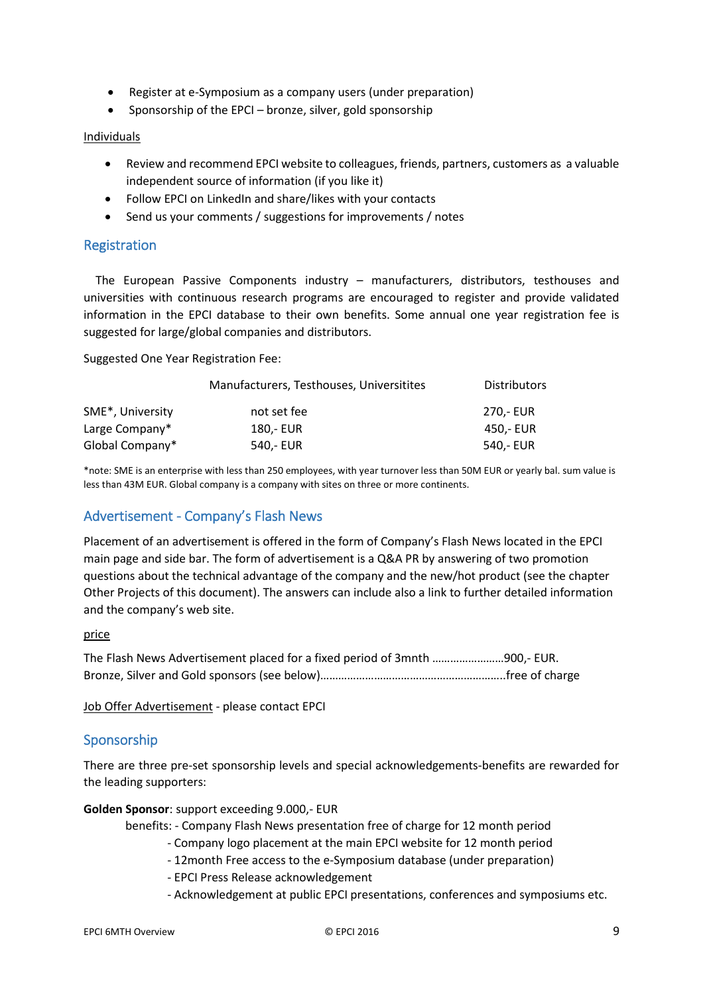- Register at e-Symposium as a company users (under preparation)
- Sponsorship of the EPCI bronze, silver, gold sponsorship

# Individuals

- Review and recommend EPCI website to colleagues, friends, partners, customers as a valuable independent source of information (if you like it)
- Follow EPCI on LinkedIn and share/likes with your contacts
- Send us your comments / suggestions for improvements / notes

# Registration

The European Passive Components industry – manufacturers, distributors, testhouses and universities with continuous research programs are encouraged to register and provide validated information in the EPCI database to their own benefits. Some annual one year registration fee is suggested for large/global companies and distributors.

Suggested One Year Registration Fee:

|                  | Manufacturers, Testhouses, Universitites | <b>Distributors</b> |
|------------------|------------------------------------------|---------------------|
| SME*, University | not set fee                              | 270.- EUR           |
| Large Company*   | 180.- EUR                                | 450.- EUR           |
| Global Company*  | 540.- EUR                                | 540,- EUR           |

\*note: SME is an enterprise with less than 250 employees, with year turnover less than 50M EUR or yearly bal. sum value is less than 43M EUR. Global company is a company with sites on three or more continents.

# Advertisement - Company's Flash News

Placement of an advertisement is offered in the form of Company's Flash News located in the EPCI main page and side bar. The form of advertisement is a Q&A PR by answering of two promotion questions about the technical advantage of the company and the new/hot product (see the chapter Other Projects of this document). The answers can include also a link to further detailed information and the company's web site.

### price

The Flash News Advertisement placed for a fixed period of 3mnth ……………………900,- EUR. Bronze, Silver and Gold sponsors (see below)……………………………………………………..free of charge

Job Offer Advertisement - please contact EPCI

# Sponsorship

There are three pre-set sponsorship levels and special acknowledgements-benefits are rewarded for the leading supporters:

**Golden Sponsor**: support exceeding 9.000,- EUR

benefits: - Company Flash News presentation free of charge for 12 month period

- Company logo placement at the main EPCI website for 12 month period
- 12month Free access to the e-Symposium database (under preparation)
- EPCI Press Release acknowledgement
- Acknowledgement at public EPCI presentations, conferences and symposiums etc.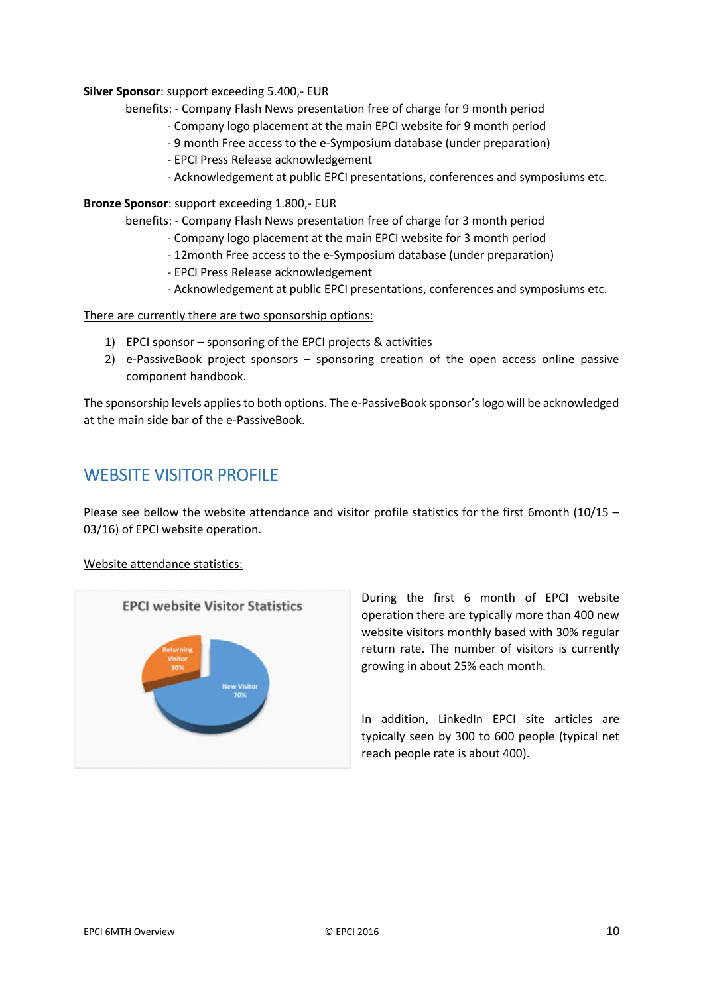### **Silver Sponsor**: support exceeding 5.400,- EUR

benefits: - Company Flash News presentation free of charge for 9 month period

- Company logo placement at the main EPCI website for 9 month period
- 9 month Free access to the e-Symposium database (under preparation)
- EPCI Press Release acknowledgement
- Acknowledgement at public EPCI presentations, conferences and symposiums etc.

### **Bronze Sponsor**: support exceeding 1.800,- EUR

benefits: - Company Flash News presentation free of charge for 3 month period

- Company logo placement at the main EPCI website for 3 month period
- 12month Free access to the e-Symposium database (under preparation)
- EPCI Press Release acknowledgement
- Acknowledgement at public EPCI presentations, conferences and symposiums etc.

There are currently there are two sponsorship options:

- 1) EPCI sponsor sponsoring of the EPCI projects & activities
- 2) e-PassiveBook project sponsors sponsoring creation of the open access online passive component handbook.

The sponsorship levels applies to both options. The e-PassiveBook sponsor's logo will be acknowledged at the main side bar of the e-PassiveBook.

# WEBSITE VISITOR PROFILE

Please see bellow the website attendance and visitor profile statistics for the first 6month (10/15 – 03/16) of EPCI website operation.

### Website attendance statistics:



During the first 6 month of EPCI website operation there are typically more than 400 new website visitors monthly based with 30% regular return rate. The number of visitors is currently growing in about 25% each month.

In addition, LinkedIn EPCI site articles are typically seen by 300 to 600 people (typical net reach people rate is about 400).